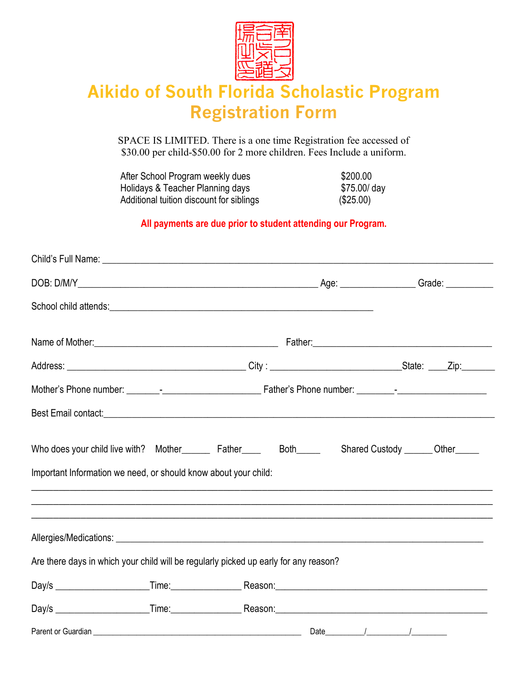

## **Aikido of South Florida Scholastic Program Registration Form**

SPACE IS LIMITED. There is a one time Registration fee accessed of \$30.00 per child-\$50.00 for 2 more children. Fees Include a uniform.

After School Program weekly dues<br>
Holidays & Teacher Planning days<br>
\$75.00/day Holidays & Teacher Planning days Additional tuition discount for siblings (\$25.00)

## **All payments are due prior to student attending our Program.**

| Best Email contact: experience and a series of the series of the series of the series of the series of the series of the series of the series of the series of the series of the series of the series of the series of the ser |  |                                    |
|--------------------------------------------------------------------------------------------------------------------------------------------------------------------------------------------------------------------------------|--|------------------------------------|
| Who does your child live with? Mother_________ Father_______ Both______<br>Important Information we need, or should know about your child:                                                                                     |  | Shared Custody _______ Other______ |
| Are there days in which your child will be regularly picked up early for any reason?                                                                                                                                           |  |                                    |
|                                                                                                                                                                                                                                |  |                                    |
|                                                                                                                                                                                                                                |  |                                    |
|                                                                                                                                                                                                                                |  |                                    |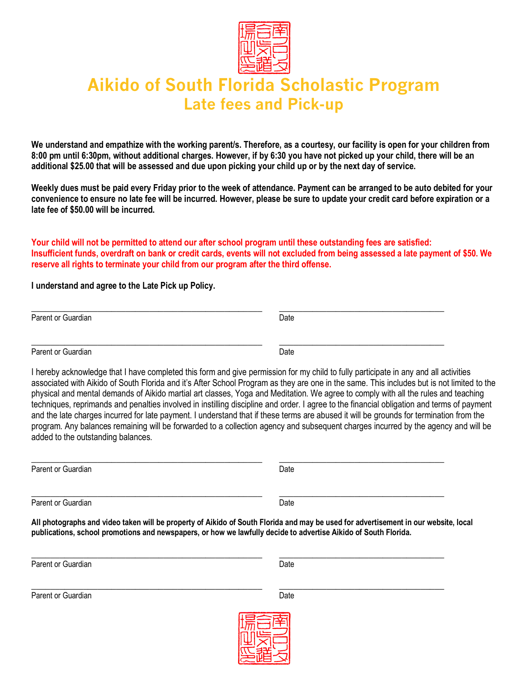

## **Aikido of South Florida Scholastic Program Late fees and Pick-up**

**We understand and empathize with the working parent/s. Therefore, as a courtesy, our facility is open for your children from 8:00 pm until 6:30pm, without additional charges. However, if by 6:30 you have not picked up your child, there will be an additional \$25.00 that will be assessed and due upon picking your child up or by the next day of service.** 

**Weekly dues must be paid every Friday prior to the week of attendance. Payment can be arranged to be auto debited for your convenience to ensure no late fee will be incurred. However, please be sure to update your credit card before expiration or a late fee of \$50.00 will be incurred.**

**Your child will not be permitted to attend our after school program until these outstanding fees are satisfied: Insufficient funds, overdraft on bank or credit cards, events will not excluded from being assessed a late payment of \$50. We reserve all rights to terminate your child from our program after the third offense.** 

**I understand and agree to the Late Pick up Policy.**

\_\_\_\_\_\_\_\_\_\_\_\_\_\_\_\_\_\_\_\_\_\_\_\_\_\_\_\_\_\_\_\_\_\_\_\_\_\_\_\_\_\_\_\_\_\_\_\_\_ \_\_\_\_\_\_\_\_\_\_\_\_\_\_\_\_\_\_\_\_\_\_\_\_\_\_\_\_\_\_\_\_\_\_\_ Parent or Guardian Date **Date** 

\_\_\_\_\_\_\_\_\_\_\_\_\_\_\_\_\_\_\_\_\_\_\_\_\_\_\_\_\_\_\_\_\_\_\_\_\_\_\_\_\_\_\_\_\_\_\_\_\_ \_\_\_\_\_\_\_\_\_\_\_\_\_\_\_\_\_\_\_\_\_\_\_\_\_\_\_\_\_\_\_\_\_\_\_ Parent or Guardian Date **Date** 

I hereby acknowledge that I have completed this form and give permission for my child to fully participate in any and all activities associated with Aikido of South Florida and it's After School Program as they are one in the same. This includes but is not limited to the physical and mental demands of Aikido martial art classes, Yoga and Meditation. We agree to comply with all the rules and teaching techniques, reprimands and penalties involved in instilling discipline and order. I agree to the financial obligation and terms of payment and the late charges incurred for late payment. I understand that if these terms are abused it will be grounds for termination from the program. Any balances remaining will be forwarded to a collection agency and subsequent charges incurred by the agency and will be added to the outstanding balances.

| Parent or Guardian | Date |
|--------------------|------|
| Parent or Guardian | Date |

**All photographs and video taken will be property of Aikido of South Florida and may be used for advertisement in our website, local publications, school promotions and newspapers, or how we lawfully decide to advertise Aikido of South Florida.**

Parent or Guardian Date

\_\_\_\_\_\_\_\_\_\_\_\_\_\_\_\_\_\_\_\_\_\_\_\_\_\_\_\_\_\_\_\_\_\_\_\_\_\_\_\_\_\_\_\_\_\_\_\_\_ \_\_\_\_\_\_\_\_\_\_\_\_\_\_\_\_\_\_\_\_\_\_\_\_\_\_\_\_\_\_\_\_\_\_\_

\_\_\_\_\_\_\_\_\_\_\_\_\_\_\_\_\_\_\_\_\_\_\_\_\_\_\_\_\_\_\_\_\_\_\_\_\_\_\_\_\_\_\_\_\_\_\_\_\_ \_\_\_\_\_\_\_\_\_\_\_\_\_\_\_\_\_\_\_\_\_\_\_\_\_\_\_\_\_\_\_\_\_\_\_ Parent or Guardian Date Communication Contract Communication Contract Communication Contract Communication Communication Communication Communication Communication Communication Communication Communication Communication Com